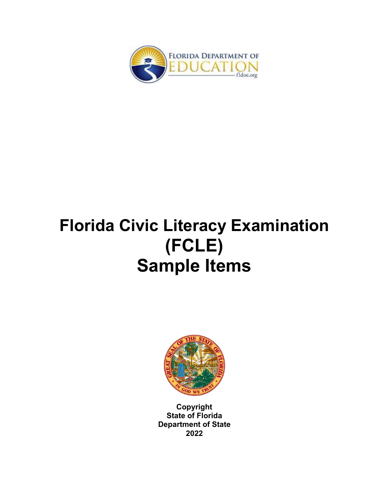

# **Florida Civic Literacy Examination (FCLE) Sample Items**



**Copyright State of Florida Department of State 2022**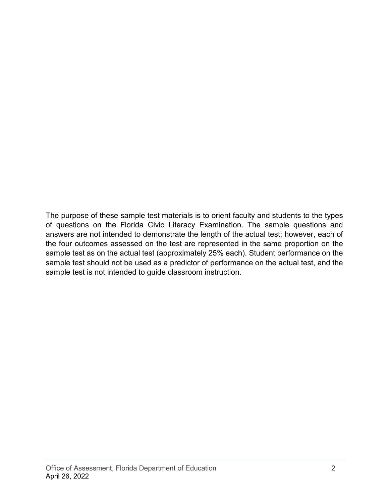The purpose of these sample test materials is to orient faculty and students to the types of questions on the Florida Civic Literacy Examination. The sample questions and answers are not intended to demonstrate the length of the actual test; however, each of the four outcomes assessed on the test are represented in the same proportion on the sample test as on the actual test (approximately 25% each). Student performance on the sample test should not be used as a predictor of performance on the actual test, and the sample test is not intended to guide classroom instruction.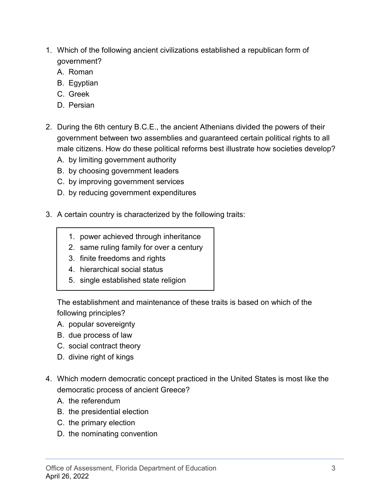- 1. Which of the following ancient civilizations established a republican form of government?
	- A. Roman
	- B. Egyptian
	- C. Greek
	- D. Persian
- 2. During the 6th century B.C.E., the ancient Athenians divided the powers of their government between two assemblies and guaranteed certain political rights to all male citizens. How do these political reforms best illustrate how societies develop?
	- A. by limiting government authority
	- B. by choosing government leaders
	- C. by improving government services
	- D. by reducing government expenditures
- 3. A certain country is characterized by the following traits:
	- 1. power achieved through inheritance
	- 2. same ruling family for over a century
	- 3. finite freedoms and rights
	- 4. hierarchical social status
	- 5. single established state religion

The establishment and maintenance of these traits is based on which of the following principles?

- A. popular sovereignty
- B. due process of law
- C. social contract theory
- D. divine right of kings
- 4. Which modern democratic concept practiced in the United States is most like the democratic process of ancient Greece?
	- A. the referendum
	- B. the presidential election
	- C. the primary election
	- D. the nominating convention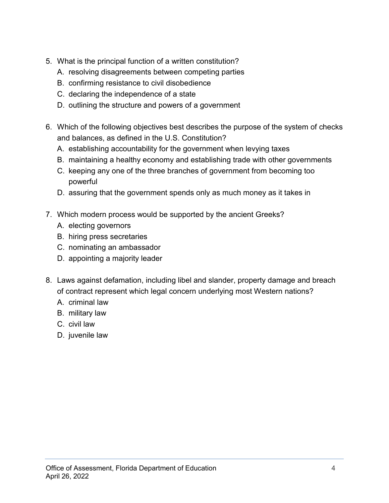- 5. What is the principal function of a written constitution?
	- A. resolving disagreements between competing parties
	- B. confirming resistance to civil disobedience
	- C. declaring the independence of a state
	- D. outlining the structure and powers of a government
- 6. Which of the following objectives best describes the purpose of the system of checks and balances, as defined in the U.S. Constitution?
	- A. establishing accountability for the government when levying taxes
	- B. maintaining a healthy economy and establishing trade with other governments
	- C. keeping any one of the three branches of government from becoming too powerful
	- D. assuring that the government spends only as much money as it takes in
- 7. Which modern process would be supported by the ancient Greeks?
	- A. electing governors
	- B. hiring press secretaries
	- C. nominating an ambassador
	- D. appointing a majority leader
- 8. Laws against defamation, including libel and slander, property damage and breach of contract represent which legal concern underlying most Western nations?
	- A. criminal law
	- B. military law
	- C. civil law
	- D. juvenile law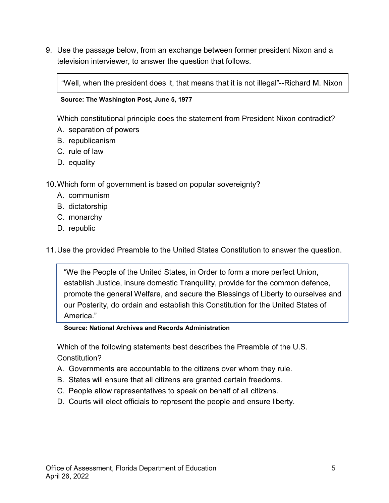9. Use the passage below, from an exchange between former president Nixon and a television interviewer, to answer the question that follows.

"Well, when the president does it, that means that it is not illegal"--Richard M. Nixon

### **Source: The Washington Post, June 5, 1977**

Which constitutional principle does the statement from President Nixon contradict?

- A. separation of powers
- B. republicanism
- C. rule of law
- D. equality

10.Which form of government is based on popular sovereignty?

- A. communism
- B. dictatorship
- C. monarchy
- D. republic

11.Use the provided Preamble to the United States Constitution to answer the question.

"We the People of the United States, in Order to form a more perfect Union, establish Justice, insure domestic Tranquility, provide for the common defence, promote the general Welfare, and secure the Blessings of Liberty to ourselves and our Posterity, do ordain and establish this Constitution for the United States of America."

#### **Source: National Archives and Records Administration**

Which of the following statements best describes the Preamble of the U.S. Constitution?

- A. Governments are accountable to the citizens over whom they rule.
- B. States will ensure that all citizens are granted certain freedoms.
- C. People allow representatives to speak on behalf of all citizens.
- D. Courts will elect officials to represent the people and ensure liberty.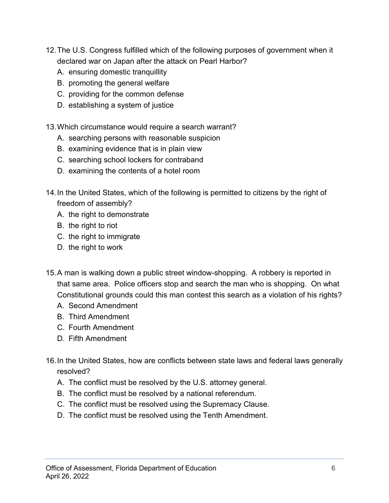- 12.The U.S. Congress fulfilled which of the following purposes of government when it declared war on Japan after the attack on Pearl Harbor?
	- A. ensuring domestic tranquillity
	- B. promoting the general welfare
	- C. providing for the common defense
	- D. establishing a system of justice
- 13.Which circumstance would require a search warrant?
	- A. searching persons with reasonable suspicion
	- B. examining evidence that is in plain view
	- C. searching school lockers for contraband
	- D. examining the contents of a hotel room
- 14.In the United States, which of the following is permitted to citizens by the right of freedom of assembly?
	- A. the right to demonstrate
	- B. the right to riot
	- C. the right to immigrate
	- D. the right to work
- 15.A man is walking down a public street window-shopping. A robbery is reported in that same area. Police officers stop and search the man who is shopping. On what Constitutional grounds could this man contest this search as a violation of his rights?
	- A. Second Amendment
	- B. Third Amendment
	- C. Fourth Amendment
	- D. Fifth Amendment
- 16.In the United States, how are conflicts between state laws and federal laws generally resolved?
	- A. The conflict must be resolved by the U.S. attorney general.
	- B. The conflict must be resolved by a national referendum.
	- C. The conflict must be resolved using the Supremacy Clause.
	- D. The conflict must be resolved using the Tenth Amendment.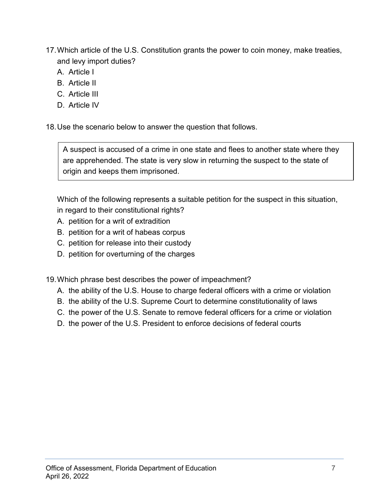17.Which article of the U.S. Constitution grants the power to coin money, make treaties, and levy import duties?

- A. Article I
- B. Article II
- C. Article III
- D. Article IV

18.Use the scenario below to answer the question that follows.

A suspect is accused of a crime in one state and flees to another state where they are apprehended. The state is very slow in returning the suspect to the state of origin and keeps them imprisoned.

Which of the following represents a suitable petition for the suspect in this situation, in regard to their constitutional rights?

- A. petition for a writ of extradition
- B. petition for a writ of habeas corpus
- C. petition for release into their custody
- D. petition for overturning of the charges

19.Which phrase best describes the power of impeachment?

- A. the ability of the U.S. House to charge federal officers with a crime or violation
- B. the ability of the U.S. Supreme Court to determine constitutionality of laws
- C. the power of the U.S. Senate to remove federal officers for a crime or violation
- D. the power of the U.S. President to enforce decisions of federal courts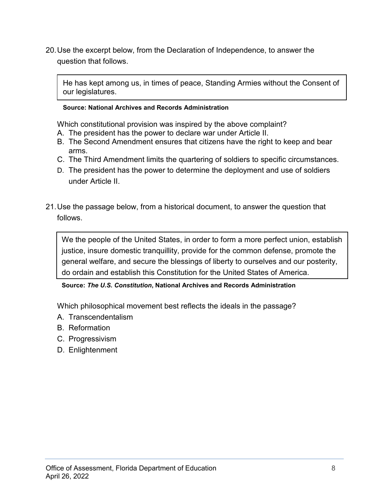20.Use the excerpt below, from the Declaration of Independence, to answer the question that follows.

He has kept among us, in times of peace, Standing Armies without the Consent of our legislatures.

### **Source: National Archives and Records Administration**

Which constitutional provision was inspired by the above complaint?

- A. The president has the power to declare war under Article II.
- B. The Second Amendment ensures that citizens have the right to keep and bear arms.
- C. The Third Amendment limits the quartering of soldiers to specific circumstances.
- D. The president has the power to determine the deployment and use of soldiers under Article II.
- 21.Use the passage below, from a historical document, to answer the question that follows.

We the people of the United States, in order to form a more perfect union, establish justice, insure domestic tranquillity, provide for the common defense, promote the general welfare, and secure the blessings of liberty to ourselves and our posterity, do ordain and establish this Constitution for the United States of America.

# **Source:** *The U.S. Constitution***, National Archives and Records Administration**

Which philosophical movement best reflects the ideals in the passage?

- A. Transcendentalism
- B. Reformation
- C. Progressivism
- D. Enlightenment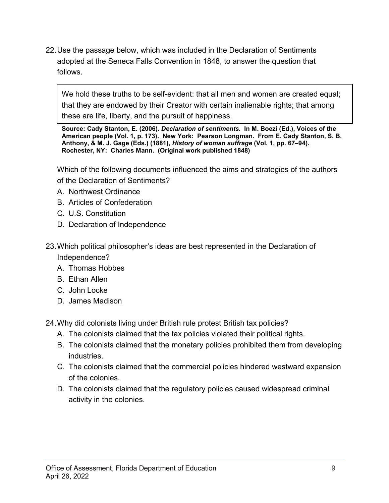22.Use the passage below, which was included in the Declaration of Sentiments adopted at the Seneca Falls Convention in 1848, to answer the question that follows.

We hold these truths to be self-evident: that all men and women are created equal; that they are endowed by their Creator with certain inalienable rights; that among these are life, liberty, and the pursuit of happiness.

**Source: Cady Stanton, E. (2006).** *Declaration of sentiments.* **In M. Boezi (Ed.), Voices of the American people (Vol. 1, p. 173). New York: Pearson Longman. From E. Cady Stanton, S. B. Anthony, & M. J. Gage (Eds.) (1881),** *History of woman suffrage* **(Vol. 1, pp. 67–94). Rochester, NY: Charles Mann. (Original work published 1848)**

Which of the following documents influenced the aims and strategies of the authors of the Declaration of Sentiments?

- A. Northwest Ordinance
- B. Articles of Confederation
- C. U.S. Constitution
- D. Declaration of Independence
- 23.Which political philosopher's ideas are best represented in the Declaration of Independence?
	- A. Thomas Hobbes
	- B. Ethan Allen
	- C. John Locke
	- D. James Madison

24.Why did colonists living under British rule protest British tax policies?

- A. The colonists claimed that the tax policies violated their political rights.
- B. The colonists claimed that the monetary policies prohibited them from developing industries.
- C. The colonists claimed that the commercial policies hindered westward expansion of the colonies.
- D. The colonists claimed that the regulatory policies caused widespread criminal activity in the colonies.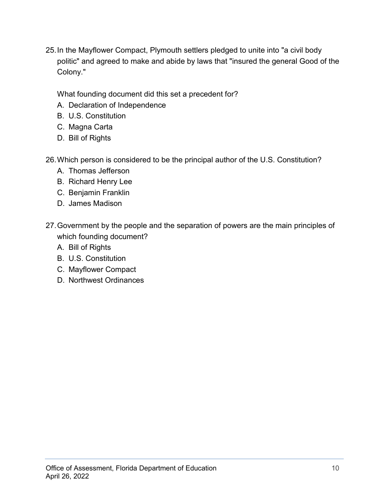25.In the Mayflower Compact, Plymouth settlers pledged to unite into "a civil body politic" and agreed to make and abide by laws that "insured the general Good of the Colony."

What founding document did this set a precedent for?

- A. Declaration of Independence
- B. U.S. Constitution
- C. Magna Carta
- D. Bill of Rights
- 26.Which person is considered to be the principal author of the U.S. Constitution?
	- A. Thomas Jefferson
	- B. Richard Henry Lee
	- C. Benjamin Franklin
	- D. James Madison
- 27.Government by the people and the separation of powers are the main principles of which founding document?
	- A. Bill of Rights
	- B. U.S. Constitution
	- C. Mayflower Compact
	- D. Northwest Ordinances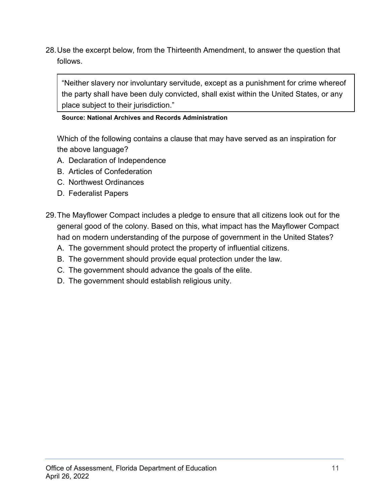28.Use the excerpt below, from the Thirteenth Amendment, to answer the question that follows.

"Neither slavery nor involuntary servitude, except as a punishment for crime whereof the party shall have been duly convicted, shall exist within the United States, or any place subject to their jurisdiction."

# **Source: National Archives and Records Administration**

Which of the following contains a clause that may have served as an inspiration for the above language?

- A. Declaration of Independence
- B. Articles of Confederation
- C. Northwest Ordinances
- D. Federalist Papers
- 29.The Mayflower Compact includes a pledge to ensure that all citizens look out for the general good of the colony. Based on this, what impact has the Mayflower Compact had on modern understanding of the purpose of government in the United States?
	- A. The government should protect the property of influential citizens.
	- B. The government should provide equal protection under the law.
	- C. The government should advance the goals of the elite.
	- D. The government should establish religious unity.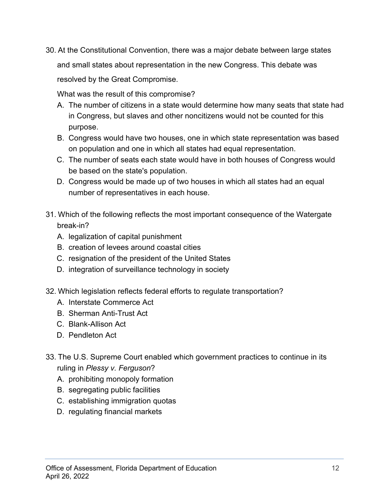30. At the Constitutional Convention, there was a major debate between large states and small states about representation in the new Congress. This debate was resolved by the Great Compromise.

What was the result of this compromise?

- A. The number of citizens in a state would determine how many seats that state had in Congress, but slaves and other noncitizens would not be counted for this purpose.
- B. Congress would have two houses, one in which state representation was based on population and one in which all states had equal representation.
- C. The number of seats each state would have in both houses of Congress would be based on the state's population.
- D. Congress would be made up of two houses in which all states had an equal number of representatives in each house.
- 31. Which of the following reflects the most important consequence of the Watergate break-in?
	- A. legalization of capital punishment
	- B. creation of levees around coastal cities
	- C. resignation of the president of the United States
	- D. integration of surveillance technology in society
- 32. Which legislation reflects federal efforts to regulate transportation?
	- A. Interstate Commerce Act
	- B. Sherman Anti-Trust Act
	- C. Blank-Allison Act
	- D. Pendleton Act
- 33. The U.S. Supreme Court enabled which government practices to continue in its ruling in *Plessy v. Ferguson*?
	- A. prohibiting monopoly formation
	- B. segregating public facilities
	- C. establishing immigration quotas
	- D. regulating financial markets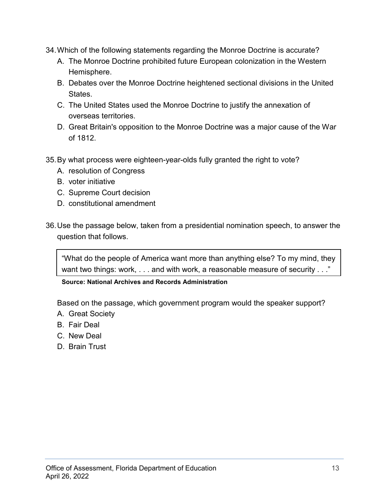- 34.Which of the following statements regarding the Monroe Doctrine is accurate?
	- A. The Monroe Doctrine prohibited future European colonization in the Western Hemisphere.
	- B. Debates over the Monroe Doctrine heightened sectional divisions in the United States.
	- C. The United States used the Monroe Doctrine to justify the annexation of overseas territories.
	- D. Great Britain's opposition to the Monroe Doctrine was a major cause of the War of 1812.
- 35.By what process were eighteen-year-olds fully granted the right to vote?
	- A. resolution of Congress
	- B. voter initiative
	- C. Supreme Court decision
	- D. constitutional amendment
- 36.Use the passage below, taken from a presidential nomination speech, to answer the question that follows.

"What do the people of America want more than anything else? To my mind, they want two things: work, . . . and with work, a reasonable measure of security . . ."

**Source: National Archives and Records Administration**

Based on the passage, which government program would the speaker support?

- A. Great Society
- B. Fair Deal
- C. New Deal
- D. Brain Trust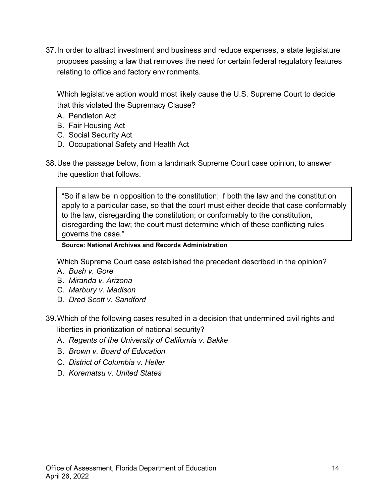37.In order to attract investment and business and reduce expenses, a state legislature proposes passing a law that removes the need for certain federal regulatory features relating to office and factory environments.

Which legislative action would most likely cause the U.S. Supreme Court to decide that this violated the Supremacy Clause?

- A. Pendleton Act
- B. Fair Housing Act
- C. Social Security Act
- D. Occupational Safety and Health Act
- 38.Use the passage below, from a landmark Supreme Court case opinion, to answer the question that follows.

"So if a law be in opposition to the constitution; if both the law and the constitution apply to a particular case, so that the court must either decide that case conformably to the law, disregarding the constitution; or conformably to the constitution, disregarding the law; the court must determine which of these conflicting rules governs the case."

# **Source: National Archives and Records Administration**

Which Supreme Court case established the precedent described in the opinion?

- A. *Bush v. Gore*
- B. *Miranda v. Arizona*
- C. *Marbury v. Madison*
- D. *Dred Scott v. Sandford*
- 39.Which of the following cases resulted in a decision that undermined civil rights and liberties in prioritization of national security?
	- A. *Regents of the University of California v. Bakke*
	- B. *Brown v. Board of Education*
	- C. *District of Columbia v. Heller*
	- D. *Korematsu v. United States*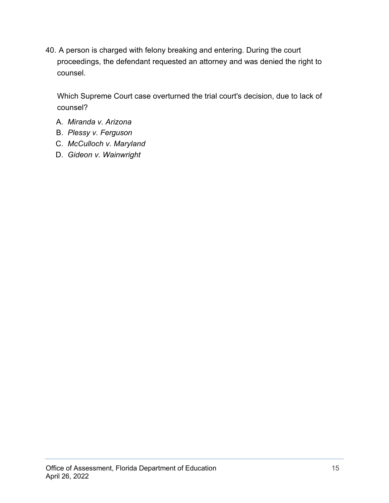40. A person is charged with felony breaking and entering. During the court proceedings, the defendant requested an attorney and was denied the right to counsel.

Which Supreme Court case overturned the trial court's decision, due to lack of counsel?

- A. *Miranda v. Arizona*
- B. *Plessy v. Ferguson*
- C. *McCulloch v. Maryland*
- D. *Gideon v. Wainwright*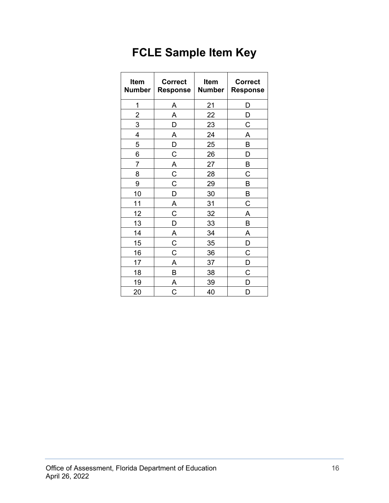# **FCLE Sample Item Key**

| Item<br><b>Number</b> | <b>Correct</b><br><b>Response</b> | Item<br><b>Number</b> | <b>Correct</b><br><b>Response</b> |
|-----------------------|-----------------------------------|-----------------------|-----------------------------------|
| 1                     | Α                                 | 21                    | D                                 |
| $\overline{2}$        | A                                 | 22                    | D                                 |
| 3                     | D                                 | 23                    | C                                 |
| $\overline{4}$        | A                                 | 24                    | A                                 |
| 5                     | D                                 | 25                    | B                                 |
| 6                     | $\mathsf C$                       | 26                    | D                                 |
| $\overline{7}$        | $\overline{A}$                    | 27                    | B                                 |
| 8                     | $\overline{C}$                    | 28                    | C                                 |
| 9                     | $\mathsf C$                       | 29                    | B                                 |
| 10                    | D                                 | 30                    | B                                 |
| 11                    | $\overline{A}$                    | 31                    | C                                 |
| 12                    | C                                 | 32                    | A                                 |
| 13                    | D                                 | 33                    | B                                 |
| 14                    | A                                 | 34                    | A                                 |
| 15                    | $\overline{C}$                    | 35                    | D                                 |
| 16                    | $\mathsf C$                       | 36                    | C                                 |
| 17                    | A                                 | 37                    | D                                 |
| 18                    | B                                 | 38                    | C                                 |
| 19                    | Α                                 | 39                    | D                                 |
| 20                    | C                                 | 40                    | D                                 |